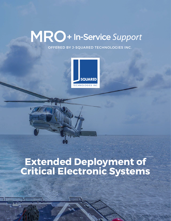# MRO+ In-Service Support

OFFERED BY J-SQUARED TECHNOLOGIES INC.



## **Extended Deployment of Critical Electronic Systems**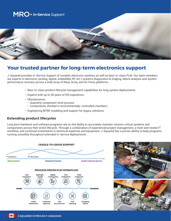

### **Your trusted partner for long-term electronics support**

J-Squared provides In-Service Support of complex electronic systems as well as best-in-class PLM. Our team members are experts in electronic (analog, digital, embedded, RF, etc.) systems diagnostics & triaging, failure analysis and system performance recovery across a wide array of Navy, Army, and Air Force platforms.

- Best-in-class product lifecycle management capabilities for long system deployments.
- Experts with up to 30 years of ISS experience.
- Obsolescence:
	- Quarterly component-level process.
	- Components stocked in environmentally-controlled chambers.
- Engineering MTBF modeling and support for legacy solutions.

#### **Extending product lifecycles**

Long term hardware and software programs rely on the ability to accurately maintain mission critical systems and components across their entire lifecycle. Through a combination of experienced project management, a tried-and-tested IT workflow, and continual investments in technical expertise and equipment, J-Squared has a proven ability to keep programs running smoothly throughout extended in-service deployments.



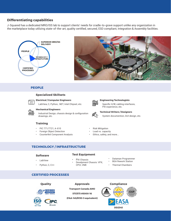#### **Differentiating capabilities**

J-Squared has a dedicated MRO/ISS lab to support clients' needs for cradle-to-grave support unlike any organization in the marketplace today utilizing state-of-the-art, quality certified, secured, ESD compliant, Integration & Assembly facilities.





#### **PEOPLE**

#### **Specialized Skillsets**

**Electrical / Computer Engineers** LabView, C, Python, .NET, Intel Chipset, etc.



 $\overline{\langle 7 \rangle}$ 

#### **Mechanical Engineers**

Industrial Design, chassis design & configuration drawings, etc.

#### **Training**

- PIC 771/7721, A-610
- Foreign Object Detection
- Counterfeit Component Analysis



**Engineering Technologists** Specific H/W, cabling interfaces, PXI experience, etc.



**Technical Writers / Designers** System documention, GUI design, etc.

- Risk Mitigation
- Load vs. capacity
- Ethics, safety, and more...

#### **TECHNOLOGY / INFRASTRUCTURE**

#### **Software**

- LabView
- Python, C, C++

#### **Test Equipment**

- PXI Chassis<br>• Develpment (
- Develpment Chassis: VPX, CPCI, VME
- Dataman Programmer
- **BGA Rework Station** 
	- Thermal Chambers

#### **CERTIFIED PROCESSES**



**Quality Approvals**

**Transport Canada AMO 571/573 #5000-16 (FAA-145/8130-3 equivalent)**